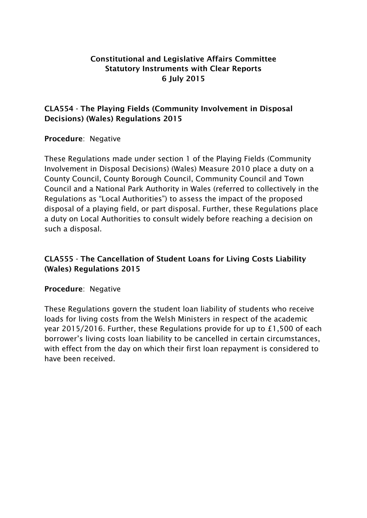# **Constitutional and Legislative Affairs Committee Statutory Instruments with Clear Reports 6 July 2015**

## **CLA554 - The Playing Fields (Community Involvement in Disposal Decisions) (Wales) Regulations 2015**

### **Procedure**: Negative

These Regulations made under section 1 of the Playing Fields (Community Involvement in Disposal Decisions) (Wales) Measure 2010 place a duty on a County Council, County Borough Council, Community Council and Town Council and a National Park Authority in Wales (referred to collectively in the Regulations as "Local Authorities") to assess the impact of the proposed disposal of a playing field, or part disposal. Further, these Regulations place a duty on Local Authorities to consult widely before reaching a decision on such a disposal.

# **CLA555 - The Cancellation of Student Loans for Living Costs Liability (Wales) Regulations 2015**

#### **Procedure**: Negative

These Regulations govern the student loan liability of students who receive loads for living costs from the Welsh Ministers in respect of the academic year 2015/2016. Further, these Regulations provide for up to £1,500 of each borrower's living costs loan liability to be cancelled in certain circumstances, with effect from the day on which their first loan repayment is considered to have been received.